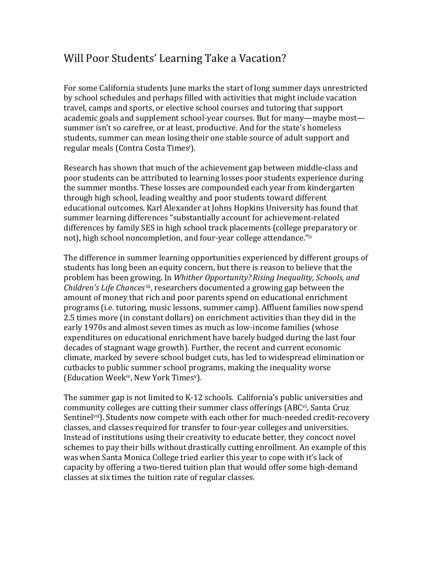## Will Poor Students' Learning Take a Vacation?

For some California students June marks the start of long summer days unrestricted by school schedules and perhaps filled with activities that might include vacation travel, camps and sports, or elective school courses and tutoring that support academic goals and supplement school-year courses. But for many—maybe most summer isn't so carefree, or at least, productive. And for the state's homeless students, summer can mean losing their one stable source of adult support and regular meals (Contra Costa Times<sup>i</sup>).

Research has shown that much of the achievement gap between middle-class and poor students can be attributed to learning losses poor students experience during the summer months. These losses are compounded each year from kindergarten through high school, leading wealthy and poor students toward different educational outcomes. Karl Alexander at Johns Hopkins University has found that summer learning differences "substantially account for achievement-related differences by family SES in high school track placements (college preparatory or not), high school noncompletion, and four-year college attendance."ii

The difference in summer learning opportunities experienced by different groups of students has long been an equity concern, but there is reason to believe that the problem has been growing. In *Whither Opportunity? Rising Inequality, Schools, and Children's Life Chances* iii, researchers documented a growing gap between the amount of money that rich and poor parents spend on educational enrichment programs (i.e. tutoring, music lessons, summer camp). Affluent families now spend 2.5 times more (in constant dollars) on enrichment activities than they did in the early 1970s and almost seven times as much as low-income families (whose expenditures on educational enrichment have barely budged during the last four decades of stagnant wage growth). Further, the recent and current economic climate, marked by severe school budget cuts, has led to widespread elimination or cutbacks to public summer school programs, making the inequality worse (Education Week<sup>iv</sup>, New York Times<sup>v</sup>).

The summer gap is not limited to K-12 schools. California's public universities and community colleges are cutting their summer class offerings (ABC<sup>vi</sup>, Santa Cruz Sentinelvii). Students now compete with each other for much-needed credit-recovery classes, and classes required for transfer to four-year colleges and universities. Instead of institutions using their creativity to educate better, they concoct novel schemes to pay their bills without drastically cutting enrollment. An example of this was when Santa Monica College tried earlier this year to cope with it's lack of capacity by offering a two-tiered tuition plan that would offer some high-demand classes at six times the tuition rate of regular classes.